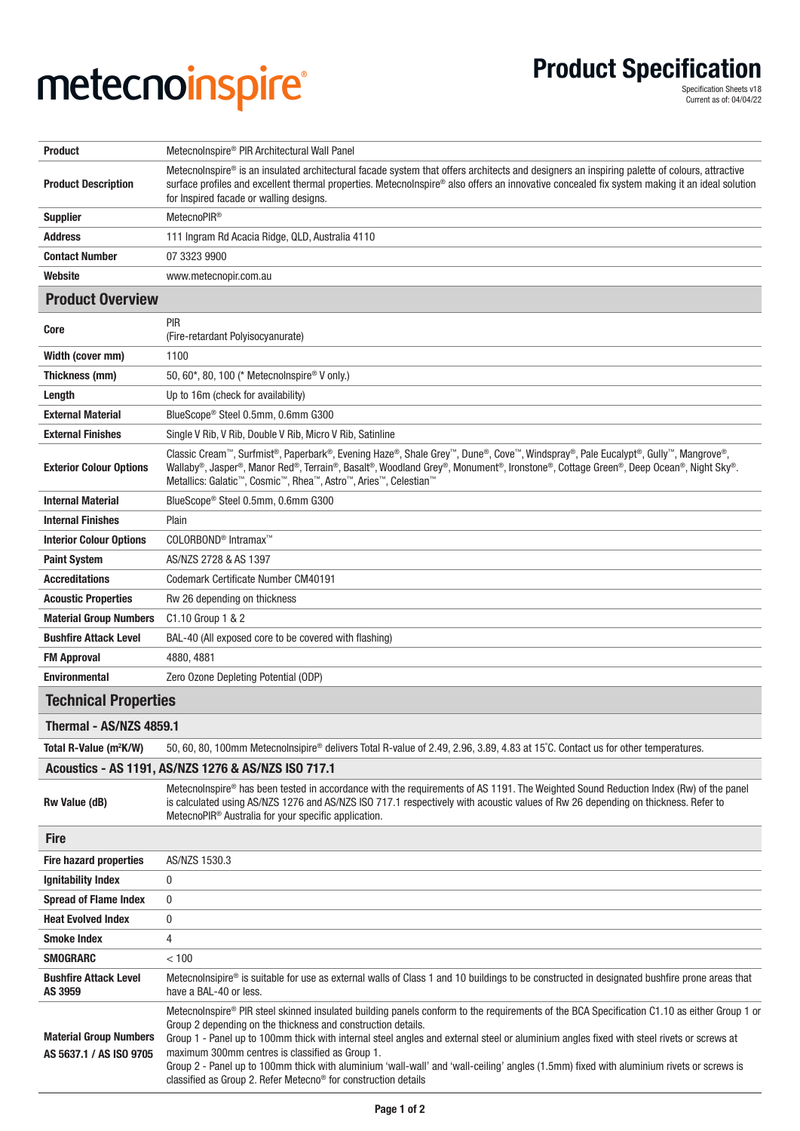## **metecnoinspire** Product Specification **®**

**Product Specification**<br>
Specification Sheets v18<br>
Current as of: 04/04/22

| <b>Product</b>                                                                                                                                                        | Metecnolnspire® PIR Architectural Wall Panel                                                                                                                                                                                                                                                                                                                                                                                                                                                                                                                                                                                        |
|-----------------------------------------------------------------------------------------------------------------------------------------------------------------------|-------------------------------------------------------------------------------------------------------------------------------------------------------------------------------------------------------------------------------------------------------------------------------------------------------------------------------------------------------------------------------------------------------------------------------------------------------------------------------------------------------------------------------------------------------------------------------------------------------------------------------------|
| <b>Product Description</b>                                                                                                                                            | Metecnolnspire® is an insulated architectural facade system that offers architects and designers an inspiring palette of colours, attractive<br>surface profiles and excellent thermal properties. Metecnolnspire® also offers an innovative concealed fix system making it an ideal solution<br>for Inspired facade or walling designs.                                                                                                                                                                                                                                                                                            |
| <b>Supplier</b>                                                                                                                                                       | MetecnoPIR <sup>®</sup>                                                                                                                                                                                                                                                                                                                                                                                                                                                                                                                                                                                                             |
| <b>Address</b>                                                                                                                                                        | 111 Ingram Rd Acacia Ridge, QLD, Australia 4110                                                                                                                                                                                                                                                                                                                                                                                                                                                                                                                                                                                     |
| <b>Contact Number</b>                                                                                                                                                 | 07 3323 9900                                                                                                                                                                                                                                                                                                                                                                                                                                                                                                                                                                                                                        |
| Website                                                                                                                                                               | www.metecnopir.com.au                                                                                                                                                                                                                                                                                                                                                                                                                                                                                                                                                                                                               |
| <b>Product Overview</b>                                                                                                                                               |                                                                                                                                                                                                                                                                                                                                                                                                                                                                                                                                                                                                                                     |
| Core                                                                                                                                                                  | PIR<br>(Fire-retardant Polyisocyanurate)                                                                                                                                                                                                                                                                                                                                                                                                                                                                                                                                                                                            |
| Width (cover mm)                                                                                                                                                      | 1100                                                                                                                                                                                                                                                                                                                                                                                                                                                                                                                                                                                                                                |
| Thickness (mm)                                                                                                                                                        | 50, 60*, 80, 100 (* Metecnolnspire® V only.)                                                                                                                                                                                                                                                                                                                                                                                                                                                                                                                                                                                        |
| Length                                                                                                                                                                | Up to 16m (check for availability)                                                                                                                                                                                                                                                                                                                                                                                                                                                                                                                                                                                                  |
| <b>External Material</b>                                                                                                                                              | BlueScope® Steel 0.5mm, 0.6mm G300                                                                                                                                                                                                                                                                                                                                                                                                                                                                                                                                                                                                  |
| <b>External Finishes</b>                                                                                                                                              | Single V Rib, V Rib, Double V Rib, Micro V Rib, Satinline                                                                                                                                                                                                                                                                                                                                                                                                                                                                                                                                                                           |
| <b>Exterior Colour Options</b>                                                                                                                                        | Classic Cream™, Surfmist®, Paperbark®, Evening Haze®, Shale Grey™, Dune®, Cove™, Windspray®, Pale Eucalypt®, Gully™, Mangrove®,<br>Wallaby®, Jasper®, Manor Red®, Terrain®, Basalt®, Woodland Grey®, Monument®, Ironstone®, Cottage Green®, Deep Ocean®, Night Sky®.<br>Metallics: Galatic™, Cosmic™, Rhea™, Astro™, Aries™, Celestian™                                                                                                                                                                                                                                                                                             |
| <b>Internal Material</b>                                                                                                                                              | BlueScope® Steel 0.5mm, 0.6mm G300                                                                                                                                                                                                                                                                                                                                                                                                                                                                                                                                                                                                  |
| <b>Internal Finishes</b>                                                                                                                                              | Plain                                                                                                                                                                                                                                                                                                                                                                                                                                                                                                                                                                                                                               |
| <b>Interior Colour Options</b>                                                                                                                                        | COLORBOND <sup>®</sup> Intramax <sup>™</sup>                                                                                                                                                                                                                                                                                                                                                                                                                                                                                                                                                                                        |
| <b>Paint System</b>                                                                                                                                                   | AS/NZS 2728 & AS 1397                                                                                                                                                                                                                                                                                                                                                                                                                                                                                                                                                                                                               |
| <b>Accreditations</b>                                                                                                                                                 | Codemark Certificate Number CM40191                                                                                                                                                                                                                                                                                                                                                                                                                                                                                                                                                                                                 |
| <b>Acoustic Properties</b>                                                                                                                                            | Rw 26 depending on thickness                                                                                                                                                                                                                                                                                                                                                                                                                                                                                                                                                                                                        |
| <b>Material Group Numbers</b>                                                                                                                                         | C1.10 Group 1 & 2                                                                                                                                                                                                                                                                                                                                                                                                                                                                                                                                                                                                                   |
| <b>Bushfire Attack Level</b>                                                                                                                                          | BAL-40 (All exposed core to be covered with flashing)                                                                                                                                                                                                                                                                                                                                                                                                                                                                                                                                                                               |
| <b>FM Approval</b>                                                                                                                                                    | 4880, 4881                                                                                                                                                                                                                                                                                                                                                                                                                                                                                                                                                                                                                          |
| <b>Environmental</b>                                                                                                                                                  | Zero Ozone Depleting Potential (ODP)                                                                                                                                                                                                                                                                                                                                                                                                                                                                                                                                                                                                |
| <b>Technical Properties</b>                                                                                                                                           |                                                                                                                                                                                                                                                                                                                                                                                                                                                                                                                                                                                                                                     |
| Thermal - AS/NZS 4859.1                                                                                                                                               |                                                                                                                                                                                                                                                                                                                                                                                                                                                                                                                                                                                                                                     |
| Total R-Value (m <sup>2</sup> K/W)<br>50, 60, 80, 100mm Metecnolnsipire® delivers Total R-value of 2.49, 2.96, 3.89, 4.83 at 15°C. Contact us for other temperatures. |                                                                                                                                                                                                                                                                                                                                                                                                                                                                                                                                                                                                                                     |
| Acoustics - AS 1191, AS/NZS 1276 & AS/NZS ISO 717.1                                                                                                                   |                                                                                                                                                                                                                                                                                                                                                                                                                                                                                                                                                                                                                                     |
| <b>Rw Value (dB)</b>                                                                                                                                                  | Metecnolnspire® has been tested in accordance with the requirements of AS 1191. The Weighted Sound Reduction Index (Rw) of the panel<br>is calculated using AS/NZS 1276 and AS/NZS ISO 717.1 respectively with acoustic values of Rw 26 depending on thickness. Refer to<br>MetecnoPIR <sup>®</sup> Australia for your specific application.                                                                                                                                                                                                                                                                                        |
| <b>Fire</b>                                                                                                                                                           |                                                                                                                                                                                                                                                                                                                                                                                                                                                                                                                                                                                                                                     |
| <b>Fire hazard properties</b>                                                                                                                                         | AS/NZS 1530.3                                                                                                                                                                                                                                                                                                                                                                                                                                                                                                                                                                                                                       |
| <b>Ignitability Index</b>                                                                                                                                             | 0                                                                                                                                                                                                                                                                                                                                                                                                                                                                                                                                                                                                                                   |
| <b>Spread of Flame Index</b>                                                                                                                                          | 0                                                                                                                                                                                                                                                                                                                                                                                                                                                                                                                                                                                                                                   |
| <b>Heat Evolved Index</b>                                                                                                                                             | 0                                                                                                                                                                                                                                                                                                                                                                                                                                                                                                                                                                                                                                   |
| <b>Smoke Index</b>                                                                                                                                                    | 4                                                                                                                                                                                                                                                                                                                                                                                                                                                                                                                                                                                                                                   |
| <b>SMOGRARC</b>                                                                                                                                                       | < 100                                                                                                                                                                                                                                                                                                                                                                                                                                                                                                                                                                                                                               |
| <b>Bushfire Attack Level</b><br>AS 3959                                                                                                                               | Metecnolnsipire® is suitable for use as external walls of Class 1 and 10 buildings to be constructed in designated bushfire prone areas that<br>have a BAL-40 or less.                                                                                                                                                                                                                                                                                                                                                                                                                                                              |
| <b>Material Group Numbers</b><br>AS 5637.1 / AS ISO 9705                                                                                                              | Metecnolnspire® PIR steel skinned insulated building panels conform to the requirements of the BCA Specification C1.10 as either Group 1 or<br>Group 2 depending on the thickness and construction details.<br>Group 1 - Panel up to 100mm thick with internal steel angles and external steel or aluminium angles fixed with steel rivets or screws at<br>maximum 300mm centres is classified as Group 1.<br>Group 2 - Panel up to 100mm thick with aluminium 'wall-wall' and 'wall-ceiling' angles (1.5mm) fixed with aluminium rivets or screws is<br>classified as Group 2. Refer Metecno <sup>®</sup> for construction details |